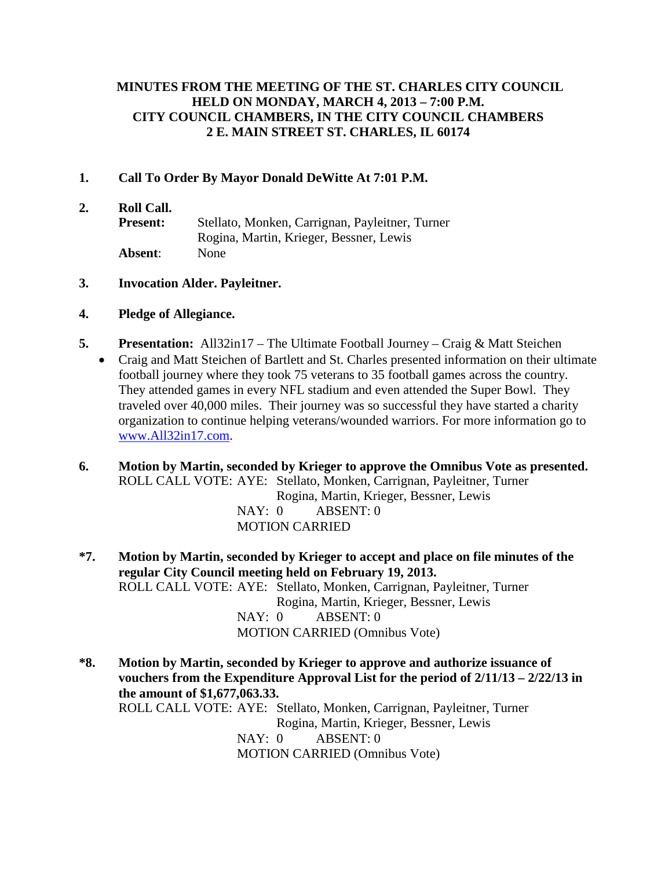## **MINUTES FROM THE MEETING OF THE ST. CHARLES CITY COUNCIL HELD ON MONDAY, MARCH 4, 2013 – 7:00 P.M. CITY COUNCIL CHAMBERS, IN THE CITY COUNCIL CHAMBERS 2 E. MAIN STREET ST. CHARLES, IL 60174**

#### **1. Call To Order By Mayor Donald DeWitte At 7:01 P.M.**

**2. Roll Call. Present:** Stellato, Monken, Carrignan, Payleitner, Turner Rogina, Martin, Krieger, Bessner, Lewis **Absent**: None

#### **3. Invocation Alder. Payleitner.**

#### **4. Pledge of Allegiance.**

- **5. Presentation:** All32in17 The Ultimate Football Journey Craig & Matt Steichen
	- Craig and Matt Steichen of Bartlett and St. Charles presented information on their ultimate football journey where they took 75 veterans to 35 football games across the country. They attended games in every NFL stadium and even attended the Super Bowl. They traveled over 40,000 miles. Their journey was so successful they have started a charity organization to continue helping veterans/wounded warriors. For more information go to [www.All32in17.com.](http://www.all32in17.com/)
- **6. Motion by Martin, seconded by Krieger to approve the Omnibus Vote as presented.** ROLL CALL VOTE: AYE: Stellato, Monken, Carrignan, Payleitner, Turner Rogina, Martin, Krieger, Bessner, Lewis NAY: 0 ABSENT: 0 MOTION CARRIED
- **\*7. Motion by Martin, seconded by Krieger to accept and place on file minutes of the regular City Council meeting held on February 19, 2013.** ROLL CALL VOTE: AYE: Stellato, Monken, Carrignan, Payleitner, Turner Rogina, Martin, Krieger, Bessner, Lewis NAY: 0 ABSENT: 0 MOTION CARRIED (Omnibus Vote)

**\*8. Motion by Martin, seconded by Krieger to approve and authorize issuance of vouchers from the Expenditure Approval List for the period of 2/11/13 – 2/22/13 in the amount of \$1,677,063.33.** ROLL CALL VOTE: AYE: Stellato, Monken, Carrignan, Payleitner, Turner Rogina, Martin, Krieger, Bessner, Lewis NAY: 0 ABSENT: 0 MOTION CARRIED (Omnibus Vote)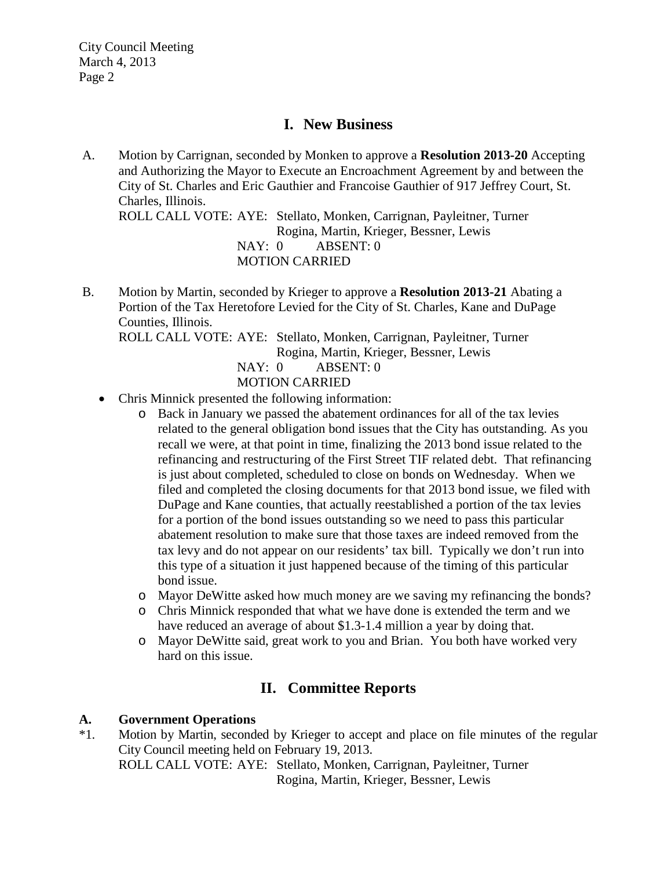# **I. New Business**

A. Motion by Carrignan, seconded by Monken to approve a **Resolution 2013-20** Accepting and Authorizing the Mayor to Execute an Encroachment Agreement by and between the City of St. Charles and Eric Gauthier and Francoise Gauthier of 917 Jeffrey Court, St. Charles, Illinois.

ROLL CALL VOTE: AYE: Stellato, Monken, Carrignan, Payleitner, Turner Rogina, Martin, Krieger, Bessner, Lewis NAY: 0 ABSENT: 0 MOTION CARRIED

B. Motion by Martin, seconded by Krieger to approve a **Resolution 2013-21** Abating a Portion of the Tax Heretofore Levied for the City of St. Charles, Kane and DuPage Counties, Illinois. ROLL CALL VOTE: AYE: Stellato, Monken, Carrignan, Payleitner, Turner Rogina, Martin, Krieger, Bessner, Lewis

NAY: 0 ABSENT: 0 MOTION CARRIED

- Chris Minnick presented the following information:
	- o Back in January we passed the abatement ordinances for all of the tax levies related to the general obligation bond issues that the City has outstanding. As you recall we were, at that point in time, finalizing the 2013 bond issue related to the refinancing and restructuring of the First Street TIF related debt. That refinancing is just about completed, scheduled to close on bonds on Wednesday. When we filed and completed the closing documents for that 2013 bond issue, we filed with DuPage and Kane counties, that actually reestablished a portion of the tax levies for a portion of the bond issues outstanding so we need to pass this particular abatement resolution to make sure that those taxes are indeed removed from the tax levy and do not appear on our residents' tax bill. Typically we don't run into this type of a situation it just happened because of the timing of this particular bond issue.
	- o Mayor DeWitte asked how much money are we saving my refinancing the bonds?
	- o Chris Minnick responded that what we have done is extended the term and we have reduced an average of about \$1.3-1.4 million a year by doing that.
	- o Mayor DeWitte said, great work to you and Brian. You both have worked very hard on this issue.

# **II. Committee Reports**

# **A. Government Operations**

\*1. Motion by Martin, seconded by Krieger to accept and place on file minutes of the regular City Council meeting held on February 19, 2013. ROLL CALL VOTE: AYE: Stellato, Monken, Carrignan, Payleitner, Turner Rogina, Martin, Krieger, Bessner, Lewis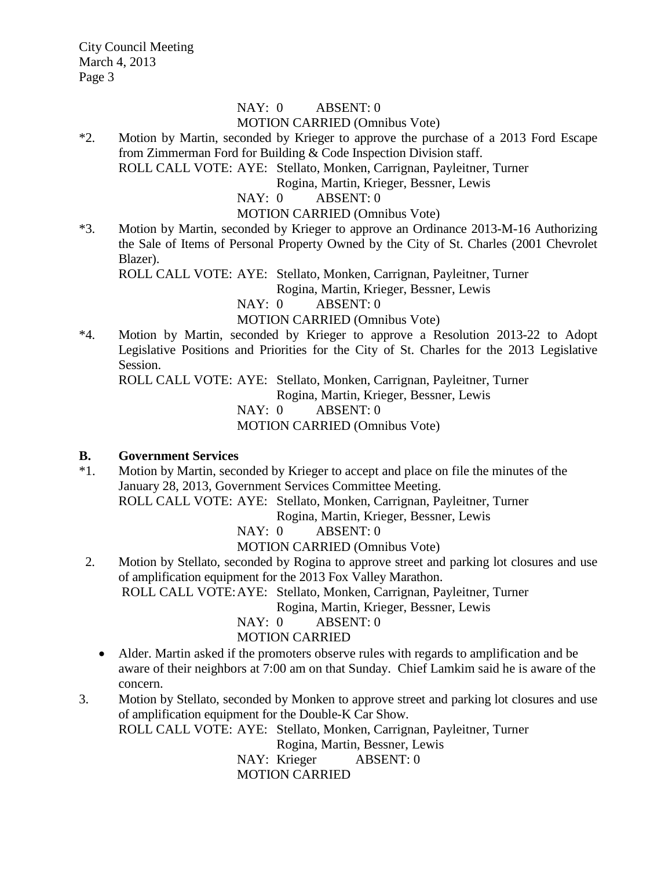#### NAY: 0 ABSENT: 0 MOTION CARRIED (Omnibus Vote)

\*2. Motion by Martin, seconded by Krieger to approve the purchase of a 2013 Ford Escape from Zimmerman Ford for Building & Code Inspection Division staff.

ROLL CALL VOTE: AYE: Stellato, Monken, Carrignan, Payleitner, Turner

Rogina, Martin, Krieger, Bessner, Lewis

NAY: 0 ABSENT: 0

MOTION CARRIED (Omnibus Vote)

\*3. Motion by Martin, seconded by Krieger to approve an Ordinance 2013-M-16 Authorizing the Sale of Items of Personal Property Owned by the City of St. Charles (2001 Chevrolet Blazer).

ROLL CALL VOTE: AYE: Stellato, Monken, Carrignan, Payleitner, Turner

Rogina, Martin, Krieger, Bessner, Lewis

NAY: 0 ABSENT: 0

MOTION CARRIED (Omnibus Vote)

\*4. Motion by Martin, seconded by Krieger to approve a Resolution 2013-22 to Adopt Legislative Positions and Priorities for the City of St. Charles for the 2013 Legislative Session.

ROLL CALL VOTE: AYE: Stellato, Monken, Carrignan, Payleitner, Turner

Rogina, Martin, Krieger, Bessner, Lewis

NAY: 0 ABSENT: 0

MOTION CARRIED (Omnibus Vote)

#### **B. Government Services**

\*1. Motion by Martin, seconded by Krieger to accept and place on file the minutes of the January 28, 2013, Government Services Committee Meeting. ROLL CALL VOTE: AYE: Stellato, Monken, Carrignan, Payleitner, Turner

Rogina, Martin, Krieger, Bessner, Lewis

NAY: 0 ABSENT: 0

MOTION CARRIED (Omnibus Vote)

 2. Motion by Stellato, seconded by Rogina to approve street and parking lot closures and use of amplification equipment for the 2013 Fox Valley Marathon.

ROLL CALL VOTE:AYE: Stellato, Monken, Carrignan, Payleitner, Turner

Rogina, Martin, Krieger, Bessner, Lewis

NAY: 0 ABSENT: 0 MOTION CARRIED

- Alder. Martin asked if the promoters observe rules with regards to amplification and be aware of their neighbors at 7:00 am on that Sunday. Chief Lamkim said he is aware of the concern.
- 3. Motion by Stellato, seconded by Monken to approve street and parking lot closures and use of amplification equipment for the Double-K Car Show. ROLL CALL VOTE: AYE: Stellato, Monken, Carrignan, Payleitner, Turner

Rogina, Martin, Bessner, Lewis

NAY: Krieger ABSENT: 0

MOTION CARRIED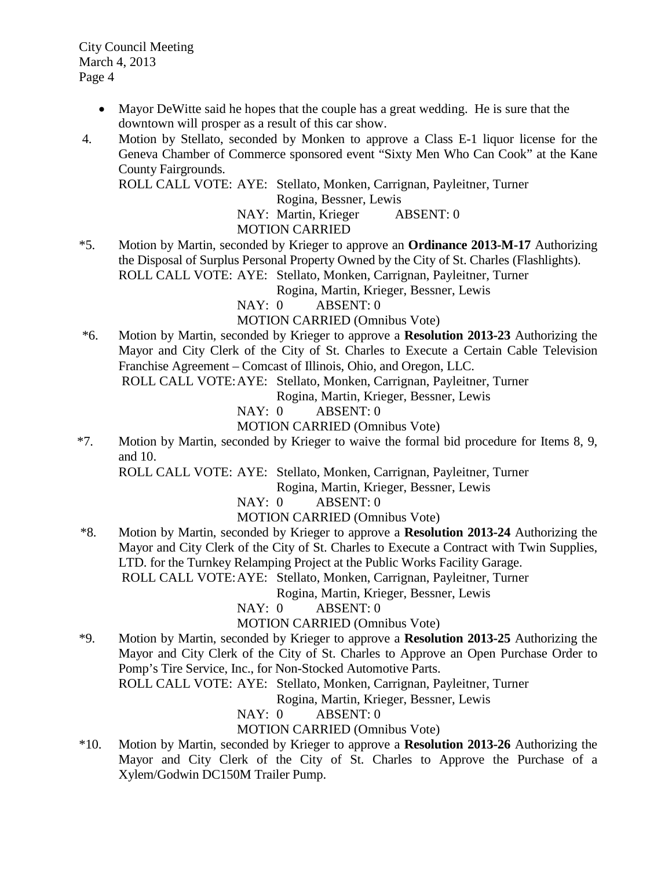- Mayor DeWitte said he hopes that the couple has a great wedding. He is sure that the downtown will prosper as a result of this car show.
- 4. Motion by Stellato, seconded by Monken to approve a Class E-1 liquor license for the Geneva Chamber of Commerce sponsored event "Sixty Men Who Can Cook" at the Kane County Fairgrounds.

ROLL CALL VOTE: AYE: Stellato, Monken, Carrignan, Payleitner, Turner

Rogina, Bessner, Lewis

NAY: Martin, Krieger ABSENT: 0

## MOTION CARRIED

\*5. Motion by Martin, seconded by Krieger to approve an **Ordinance 2013-M-17** Authorizing the Disposal of Surplus Personal Property Owned by the City of St. Charles (Flashlights). ROLL CALL VOTE: AYE: Stellato, Monken, Carrignan, Payleitner, Turner

Rogina, Martin, Krieger, Bessner, Lewis

NAY: 0 ABSENT: 0

MOTION CARRIED (Omnibus Vote)

\*6. Motion by Martin, seconded by Krieger to approve a **Resolution 2013-23** Authorizing the Mayor and City Clerk of the City of St. Charles to Execute a Certain Cable Television Franchise Agreement – Comcast of Illinois, Ohio, and Oregon, LLC.

ROLL CALL VOTE:AYE: Stellato, Monken, Carrignan, Payleitner, Turner

Rogina, Martin, Krieger, Bessner, Lewis

NAY: 0 ABSENT: 0

MOTION CARRIED (Omnibus Vote)

\*7. Motion by Martin, seconded by Krieger to waive the formal bid procedure for Items 8, 9, and 10.

ROLL CALL VOTE: AYE: Stellato, Monken, Carrignan, Payleitner, Turner

Rogina, Martin, Krieger, Bessner, Lewis

NAY: 0 ABSENT: 0

MOTION CARRIED (Omnibus Vote)

 \*8. Motion by Martin, seconded by Krieger to approve a **Resolution 2013-24** Authorizing the Mayor and City Clerk of the City of St. Charles to Execute a Contract with Twin Supplies, LTD. for the Turnkey Relamping Project at the Public Works Facility Garage.

ROLL CALL VOTE:AYE: Stellato, Monken, Carrignan, Payleitner, Turner

Rogina, Martin, Krieger, Bessner, Lewis

NAY: 0 ABSENT: 0

# MOTION CARRIED (Omnibus Vote)

\*9. Motion by Martin, seconded by Krieger to approve a **Resolution 2013-25** Authorizing the Mayor and City Clerk of the City of St. Charles to Approve an Open Purchase Order to Pomp's Tire Service, Inc., for Non-Stocked Automotive Parts.

ROLL CALL VOTE: AYE: Stellato, Monken, Carrignan, Payleitner, Turner

Rogina, Martin, Krieger, Bessner, Lewis

NAY: 0 ABSENT: 0

MOTION CARRIED (Omnibus Vote)

\*10. Motion by Martin, seconded by Krieger to approve a **Resolution 2013-26** Authorizing the Mayor and City Clerk of the City of St. Charles to Approve the Purchase of a Xylem/Godwin DC150M Trailer Pump.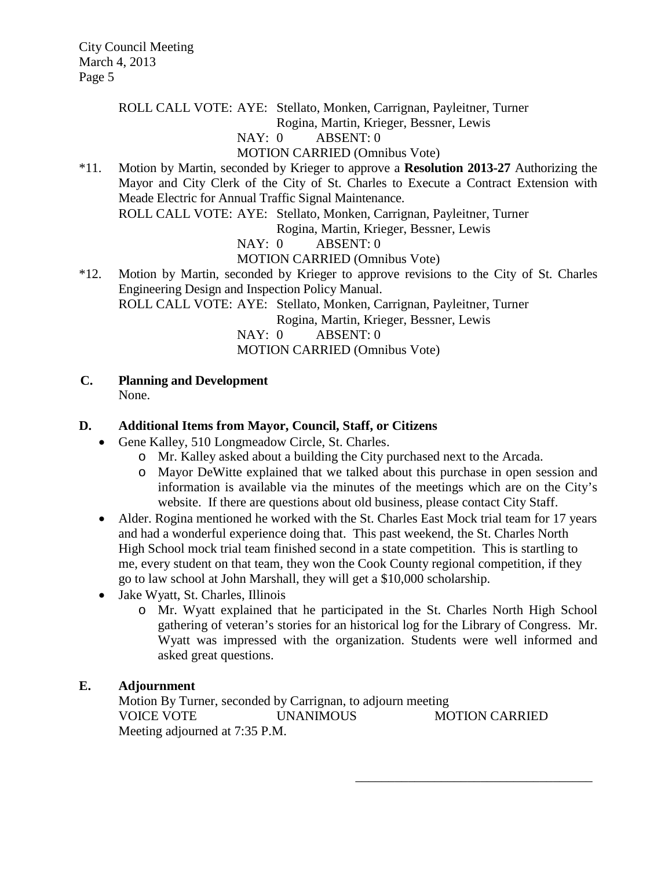ROLL CALL VOTE: AYE: Stellato, Monken, Carrignan, Payleitner, Turner

Rogina, Martin, Krieger, Bessner, Lewis

# NAY: 0 ABSENT: 0

MOTION CARRIED (Omnibus Vote)

\*11. Motion by Martin, seconded by Krieger to approve a **Resolution 2013-27** Authorizing the Mayor and City Clerk of the City of St. Charles to Execute a Contract Extension with Meade Electric for Annual Traffic Signal Maintenance.

ROLL CALL VOTE: AYE: Stellato, Monken, Carrignan, Payleitner, Turner

Rogina, Martin, Krieger, Bessner, Lewis

NAY: 0 ABSENT: 0

MOTION CARRIED (Omnibus Vote)

\*12. Motion by Martin, seconded by Krieger to approve revisions to the City of St. Charles Engineering Design and Inspection Policy Manual. ROLL CALL VOTE: AYE: Stellato, Monken, Carrignan, Payleitner, Turner

Rogina, Martin, Krieger, Bessner, Lewis

NAY: 0 ABSENT: 0 MOTION CARRIED (Omnibus Vote)

**C. Planning and Development**

None.

## **D. Additional Items from Mayor, Council, Staff, or Citizens**

- Gene Kalley, 510 Longmeadow Circle, St. Charles.
	- o Mr. Kalley asked about a building the City purchased next to the Arcada.
	- o Mayor DeWitte explained that we talked about this purchase in open session and information is available via the minutes of the meetings which are on the City's website. If there are questions about old business, please contact City Staff.
- Alder. Rogina mentioned he worked with the St. Charles East Mock trial team for 17 years and had a wonderful experience doing that. This past weekend, the St. Charles North High School mock trial team finished second in a state competition. This is startling to me, every student on that team, they won the Cook County regional competition, if they go to law school at John Marshall, they will get a \$10,000 scholarship.
- Jake Wyatt, St. Charles, Illinois
	- o Mr. Wyatt explained that he participated in the St. Charles North High School gathering of veteran's stories for an historical log for the Library of Congress. Mr. Wyatt was impressed with the organization. Students were well informed and asked great questions.

\_\_\_\_\_\_\_\_\_\_\_\_\_\_\_\_\_\_\_\_\_\_\_\_\_\_\_\_\_\_\_\_\_\_\_\_

#### **E. Adjournment**

Motion By Turner, seconded by Carrignan, to adjourn meeting VOICE VOTE UNANIMOUS MOTION CARRIED Meeting adjourned at 7:35 P.M.